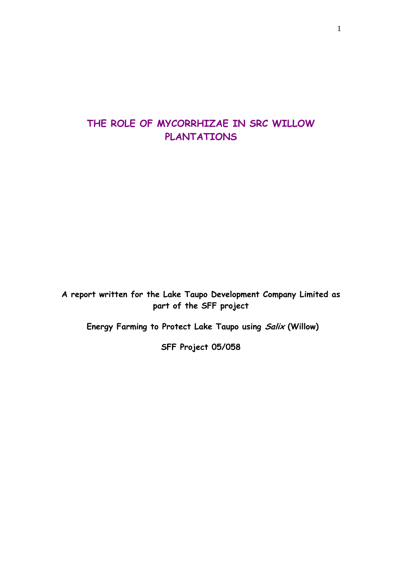# **THE ROLE OF MYCORRHIZAE IN SRC WILLOW PLANTATIONS**

**A report written for the Lake Taupo Development Company Limited as part of the SFF project**

**Energy Farming to Protect Lake Taupo using Salix (Willow)**

**SFF Project 05/058**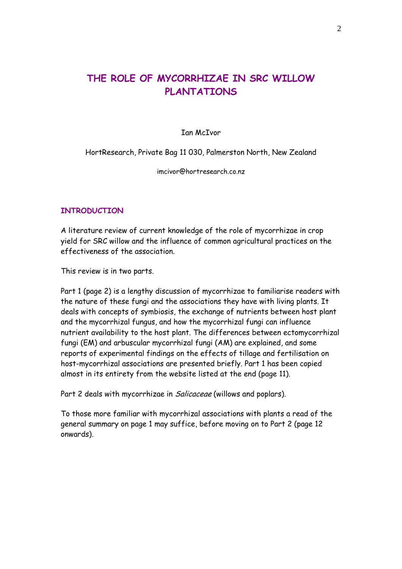# **THE ROLE OF MYCORRHIZAE IN SRC WILLOW PLANTATIONS**

Ian McIvor

HortResearch, Private Bag 11 030, Palmerston North, New Zealand

imcivor@hortresearch.co.nz

#### **INTRODUCTION**

A literature review of current knowledge of the role of mycorrhizae in crop yield for SRC willow and the influence of common agricultural practices on the effectiveness of the association.

This review is in two parts.

Part 1 (page 2) is a lengthy discussion of mycorrhizae to familiarise readers with the nature of these fungi and the associations they have with living plants. It deals with concepts of symbiosis, the exchange of nutrients between host plant and the mycorrhizal fungus, and how the mycorrhizal fungi can influence nutrient availability to the host plant. The differences between ectomycorrhizal fungi (EM) and arbuscular mycorrhizal fungi (AM) are explained, and some reports of experimental findings on the effects of tillage and fertilisation on host-mycorrhizal associations are presented briefly. Part 1 has been copied almost in its entirety from the website listed at the end (page 11).

Part 2 deals with mycorrhizae in *Salicaceae* (willows and poplars).

To those more familiar with mycorrhizal associations with plants a read of the general summary on page 1 may suffice, before moving on to Part 2 (page 12 onwards).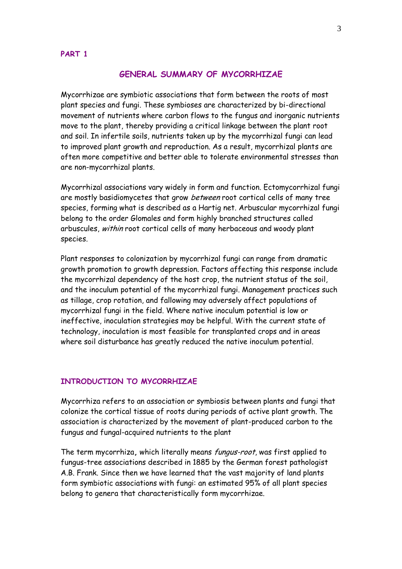#### **PART 1**

#### **GENERAL SUMMARY OF MYCORRHIZAE**

Mycorrhizae are symbiotic associations that form between the roots of most plant species and fungi. These symbioses are characterized by bi-directional movement of nutrients where carbon flows to the fungus and inorganic nutrients move to the plant, thereby providing a critical linkage between the plant root and soil. In infertile soils, nutrients taken up by the mycorrhizal fungi can lead to improved plant growth and reproduction. As a result, mycorrhizal plants are often more competitive and better able to tolerate environmental stresses than are non-mycorrhizal plants.

Mycorrhizal associations vary widely in form and function. Ectomycorrhizal fungi are mostly basidiomycetes that grow *between* root cortical cells of many tree species, forming what is described as a Hartig net. Arbuscular mycorrhizal fungi belong to the order Glomales and form highly branched structures called arbuscules, within root cortical cells of many herbaceous and woody plant species.

Plant responses to colonization by mycorrhizal fungi can range from dramatic growth promotion to growth depression. Factors affecting this response include the mycorrhizal dependency of the host crop, the nutrient status of the soil, and the inoculum potential of the mycorrhizal fungi. Management practices such as tillage, crop rotation, and fallowing may adversely affect populations of mycorrhizal fungi in the field. Where native inoculum potential is low or ineffective, inoculation strategies may be helpful. With the current state of technology, inoculation is most feasible for transplanted crops and in areas where soil disturbance has greatly reduced the native inoculum potential.

#### **INTRODUCTION TO MYCORRHIZAE**

Mycorrhiza refers to an association or symbiosis between plants and fungi that colonize the cortical tissue of roots during periods of active plant growth. The association is characterized by the movement of plant-produced carbon to the fungus and fungal-acquired nutrients to the plant

The term mycorrhiza**,** which literally means fungus-root, was first applied to fungus-tree associations described in 1885 by the German forest pathologist A.B. Frank. Since then we have learned that the vast majority of land plants form symbiotic associations with fungi: an estimated 95% of all plant species belong to genera that characteristically form mycorrhizae.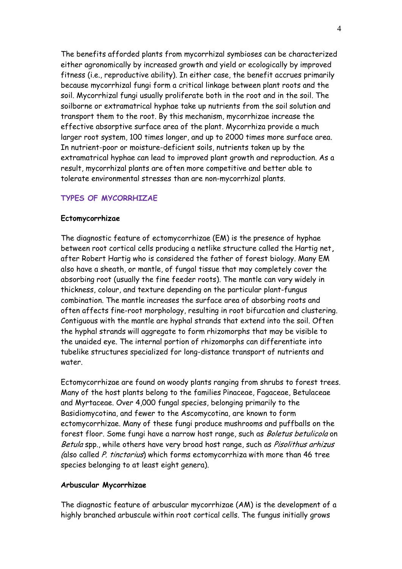The benefits afforded plants from mycorrhizal symbioses can be characterized either agronomically by increased growth and yield or ecologically by improved fitness (i.e., reproductive ability). In either case, the benefit accrues primarily because mycorrhizal fungi form a critical linkage between plant roots and the soil. Mycorrhizal fungi usually proliferate both in the root and in the soil. The soilborne or extramatrical hyphae take up nutrients from the soil solution and transport them to the root. By this mechanism, mycorrhizae increase the effective absorptive surface area of the plant. Mycorrhiza provide a much larger root system, 100 times longer, and up to 2000 times more surface area. In nutrient-poor or moisture-deficient soils, nutrients taken up by the extramatrical hyphae can lead to improved plant growth and reproduction. As a result, mycorrhizal plants are often more competitive and better able to tolerate environmental stresses than are non-mycorrhizal plants.

## **TYPES OF MYCORRHIZAE**

#### **Ectomycorrhizae**

The diagnostic feature of ectomycorrhizae (EM) is the presence of hyphae between root cortical cells producing a netlike structure called the Hartig net**,** after Robert Hartig who is considered the father of forest biology. Many EM also have a sheath, or mantle, of fungal tissue that may completely cover the absorbing root (usually the fine feeder roots). The mantle can vary widely in thickness, colour, and texture depending on the particular plant-fungus combination. The mantle increases the surface area of absorbing roots and often affects fine-root morphology, resulting in root bifurcation and clustering. Contiguous with the mantle are hyphal strands that extend into the soil. Often the hyphal strands will aggregate to form rhizomorphs that may be visible to the unaided eye. The internal portion of rhizomorphs can differentiate into tubelike structures specialized for long-distance transport of nutrients and water.

Ectomycorrhizae are found on woody plants ranging from shrubs to forest trees. Many of the host plants belong to the families Pinaceae, Fagaceae, Betulaceae and Myrtaceae. Over 4,000 fungal species, belonging primarily to the Basidiomycotina, and fewer to the Ascomycotina, are known to form ectomycorrhizae. Many of these fungi produce mushrooms and puffballs on the forest floor. Some fungi have a narrow host range, such as *Boletus betulicola* on Betula spp., while others have very broad host range, such as Pisolithus arhizus (also called P. tinctorius) which forms ectomycorrhiza with more than 46 tree species belonging to at least eight genera).

#### **Arbuscular Mycorrhizae**

The diagnostic feature of arbuscular mycorrhizae (AM) is the development of a highly branched arbuscule within root cortical cells. The fungus initially grows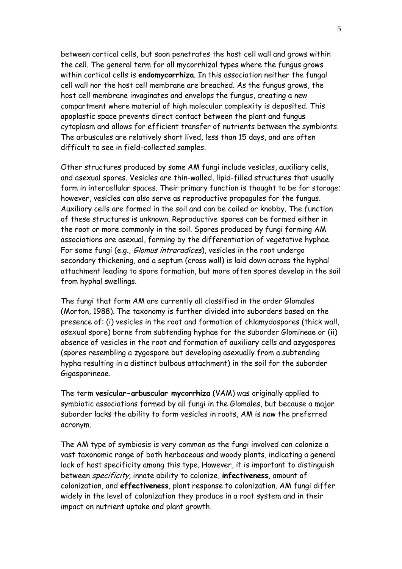between cortical cells, but soon penetrates the host cell wall and grows within the cell. The general term for all mycorrhizal types where the fungus grows within cortical cells is **endomycorrhiza**. In this association neither the fungal cell wall nor the host cell membrane are breached. As the fungus grows, the host cell membrane invaginates and envelops the fungus, creating a new compartment where material of high molecular complexity is deposited. This apoplastic space prevents direct contact between the plant and fungus cytoplasm and allows for efficient transfer of nutrients between the symbionts. The arbuscules are relatively short lived, less than 15 days, and are often difficult to see in field-collected samples.

Other structures produced by some AM fungi include vesicles, auxiliary cells, and asexual spores. Vesicles are thin-walled, lipid-filled structures that usually form in intercellular spaces. Their primary function is thought to be for storage; however, vesicles can also serve as reproductive propagules for the fungus. Auxiliary cells are formed in the soil and can be coiled or knobby. The function of these structures is unknown. Reproductive spores can be formed either in the root or more commonly in the soil. Spores produced by fungi forming AM associations are asexual, forming by the differentiation of vegetative hyphae. For some fungi (e.g., *Glomus intraradices*), vesicles in the root undergo secondary thickening, and a septum (cross wall) is laid down across the hyphal attachment leading to spore formation, but more often spores develop in the soil from hyphal swellings.

The fungi that form AM are currently all classified in the order Glomales (Morton, 1988). The taxonomy is further divided into suborders based on the presence of: (i) vesicles in the root and formation of chlamydospores (thick wall, asexual spore) borne from subtending hyphae for the suborder Glomineae or (ii) absence of vesicles in the root and formation of auxiliary cells and azygospores (spores resembling a zygospore but developing asexually from a subtending hypha resulting in a distinct bulbous attachment) in the soil for the suborder Gigasporineae.

The term **vesicular-arbuscular mycorrhiza** (VAM) was originally applied to symbiotic associations formed by all fungi in the Glomales, but because a major suborder lacks the ability to form vesicles in roots, AM is now the preferred acronym.

The AM type of symbiosis is very common as the fungi involved can colonize a vast taxonomic range of both herbaceous and woody plants, indicating a general lack of host specificity among this type. However, it is important to distinguish between specificity, innate ability to colonize, **infectiveness**, amount of colonization, and **effectiveness**, plant response to colonization. AM fungi differ widely in the level of colonization they produce in a root system and in their impact on nutrient uptake and plant growth.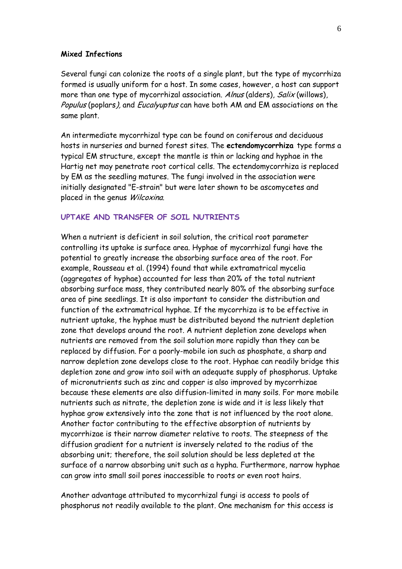#### **Mixed Infections**

Several fungi can colonize the roots of a single plant, but the type of mycorrhiza formed is usually uniform for a host. In some cases, however, a host can support more than one type of mycorrhizal association. Alnus (alders), Salix (willows), Populus (poplars), and Eucalyuptus can have both AM and EM associations on the same plant.

An intermediate mycorrhizal type can be found on coniferous and deciduous hosts in nurseries and burned forest sites. The **ectendomycorrhiza** type forms a typical EM structure, except the mantle is thin or lacking and hyphae in the Hartig net may penetrate root cortical cells. The ectendomycorrhiza is replaced by EM as the seedling matures. The fungi involved in the association were initially designated "E-strain" but were later shown to be ascomycetes and placed in the genus Wilcoxina.

#### **UPTAKE AND TRANSFER OF SOIL NUTRIENTS**

When a nutrient is deficient in soil solution, the critical root parameter controlling its uptake is surface area. Hyphae of mycorrhizal fungi have the potential to greatly increase the absorbing surface area of the root. For example, Rousseau et al. (1994) found that while extramatrical mycelia (aggregates of hyphae) accounted for less than 20% of the total nutrient absorbing surface mass, they contributed nearly 80% of the absorbing surface area of pine seedlings. It is also important to consider the distribution and function of the extramatrical hyphae. If the mycorrhiza is to be effective in nutrient uptake, the hyphae must be distributed beyond the nutrient depletion zone that develops around the root. A nutrient depletion zone develops when nutrients are removed from the soil solution more rapidly than they can be replaced by diffusion. For a poorly-mobile ion such as phosphate, a sharp and narrow depletion zone develops close to the root. Hyphae can readily bridge this depletion zone and grow into soil with an adequate supply of phosphorus. Uptake of micronutrients such as zinc and copper is also improved by mycorrhizae because these elements are also diffusion-limited in many soils. For more mobile nutrients such as nitrate, the depletion zone is wide and it is less likely that hyphae grow extensively into the zone that is not influenced by the root alone. Another factor contributing to the effective absorption of nutrients by mycorrhizae is their narrow diameter relative to roots. The steepness of the diffusion gradient for a nutrient is inversely related to the radius of the absorbing unit; therefore, the soil solution should be less depleted at the surface of a narrow absorbing unit such as a hypha. Furthermore, narrow hyphae can grow into small soil pores inaccessible to roots or even root hairs.

Another advantage attributed to mycorrhizal fungi is access to pools of phosphorus not readily available to the plant. One mechanism for this access is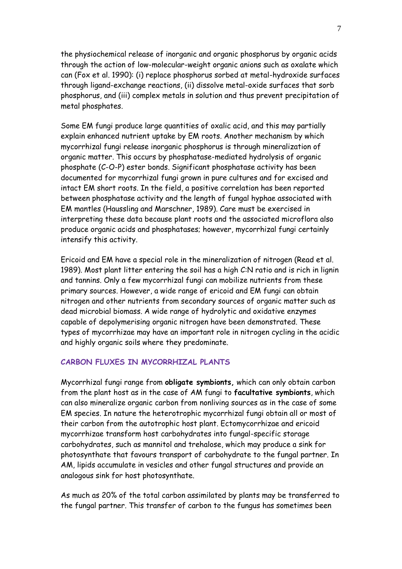the physiochemical release of inorganic and organic phosphorus by organic acids through the action of low-molecular-weight organic anions such as oxalate which can (Fox et al. 1990): (i) replace phosphorus sorbed at metal-hydroxide surfaces through ligand-exchange reactions, (ii) dissolve metal-oxide surfaces that sorb phosphorus, and (iii) complex metals in solution and thus prevent precipitation of metal phosphates.

Some EM fungi produce large quantities of oxalic acid, and this may partially explain enhanced nutrient uptake by EM roots. Another mechanism by which mycorrhizal fungi release inorganic phosphorus is through mineralization of organic matter. This occurs by phosphatase-mediated hydrolysis of organic phosphate (C-O-P) ester bonds. Significant phosphatase activity has been documented for mycorrhizal fungi grown in pure cultures and for excised and intact EM short roots. In the field, a positive correlation has been reported between phosphatase activity and the length of fungal hyphae associated with EM mantles (Haussling and Marschner, 1989). Care must be exercised in interpreting these data because plant roots and the associated microflora also produce organic acids and phosphatases; however, mycorrhizal fungi certainly intensify this activity.

Ericoid and EM have a special role in the mineralization of nitrogen (Read et al. 1989). Most plant litter entering the soil has a high C:N ratio and is rich in lignin and tannins. Only a few mycorrhizal fungi can mobilize nutrients from these primary sources. However, a wide range of ericoid and EM fungi can obtain nitrogen and other nutrients from secondary sources of organic matter such as dead microbial biomass. A wide range of hydrolytic and oxidative enzymes capable of depolymerising organic nitrogen have been demonstrated. These types of mycorrhizae may have an important role in nitrogen cycling in the acidic and highly organic soils where they predominate.

## **CARBON FLUXES IN MYCORRHIZAL PLANTS**

Mycorrhizal fungi range from **obligate symbionts,** which can only obtain carbon from the plant host as in the case of AM fungi to **facultative symbionts**, which can also mineralize organic carbon from nonliving sources as in the case of some EM species. In nature the heterotrophic mycorrhizal fungi obtain all or most of their carbon from the autotrophic host plant. Ectomycorrhizae and ericoid mycorrhizae transform host carbohydrates into fungal-specific storage carbohydrates, such as mannitol and trehalose, which may produce a sink for photosynthate that favours transport of carbohydrate to the fungal partner. In AM, lipids accumulate in vesicles and other fungal structures and provide an analogous sink for host photosynthate.

As much as 20% of the total carbon assimilated by plants may be transferred to the fungal partner. This transfer of carbon to the fungus has sometimes been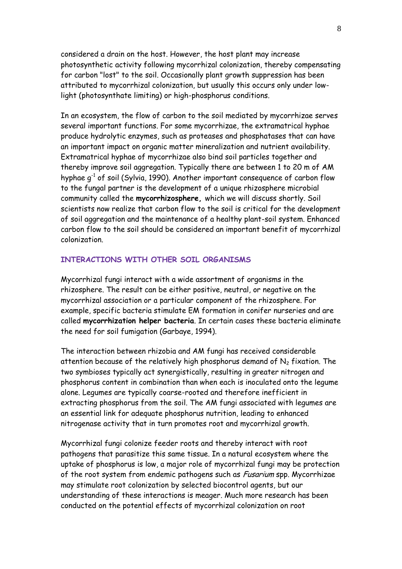considered a drain on the host. However, the host plant may increase photosynthetic activity following mycorrhizal colonization, thereby compensating for carbon "lost" to the soil. Occasionally plant growth suppression has been attributed to mycorrhizal colonization, but usually this occurs only under lowlight (photosynthate limiting) or high-phosphorus conditions.

In an ecosystem, the flow of carbon to the soil mediated by mycorrhizae serves several important functions. For some mycorrhizae, the extramatrical hyphae produce hydrolytic enzymes, such as proteases and phosphatases that can have an important impact on organic matter mineralization and nutrient availability. Extramatrical hyphae of mycorrhizae also bind soil particles together and thereby improve soil aggregation. Typically there are between 1 to 20 m of AM hyphae  $g^{-1}$  of soil (Sylvia, 1990). Another important consequence of carbon flow to the fungal partner is the development of a unique rhizosphere microbial community called the **mycorrhizosphere,** which we will discuss shortly. Soil scientists now realize that carbon flow to the soil is critical for the development of soil aggregation and the maintenance of a healthy plant-soil system. Enhanced carbon flow to the soil should be considered an important benefit of mycorrhizal colonization.

#### **INTERACTIONS WITH OTHER SOIL ORGANISMS**

Mycorrhizal fungi interact with a wide assortment of organisms in the rhizosphere. The result can be either positive, neutral, or negative on the mycorrhizal association or a particular component of the rhizosphere. For example, specific bacteria stimulate EM formation in conifer nurseries and are called **mycorrhization helper bacteria**. In certain cases these bacteria eliminate the need for soil fumigation (Garbaye, 1994).

The interaction between rhizobia and AM fungi has received considerable attention because of the relatively high phosphorus demand of  $N_2$  fixation. The two symbioses typically act synergistically, resulting in greater nitrogen and phosphorus content in combination than when each is inoculated onto the legume alone. Legumes are typically coarse-rooted and therefore inefficient in extracting phosphorus from the soil. The AM fungi associated with legumes are an essential link for adequate phosphorus nutrition, leading to enhanced nitrogenase activity that in turn promotes root and mycorrhizal growth.

Mycorrhizal fungi colonize feeder roots and thereby interact with root pathogens that parasitize this same tissue. In a natural ecosystem where the uptake of phosphorus is low, a major role of mycorrhizal fungi may be protection of the root system from endemic pathogens such as *Fusarium* spp. Mycorrhizae may stimulate root colonization by selected biocontrol agents, but our understanding of these interactions is meager. Much more research has been conducted on the potential effects of mycorrhizal colonization on root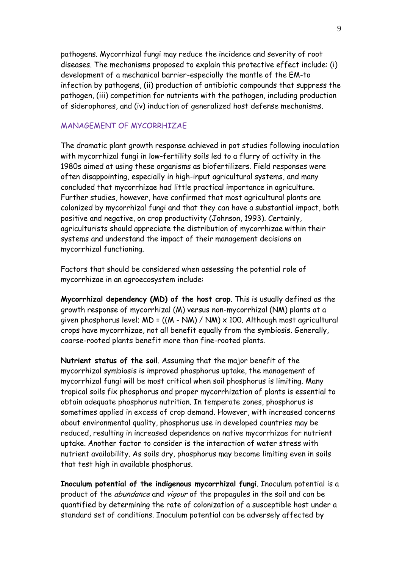pathogens. Mycorrhizal fungi may reduce the incidence and severity of root diseases. The mechanisms proposed to explain this protective effect include: (i) development of a mechanical barrier-especially the mantle of the EM-to infection by pathogens, (ii) production of antibiotic compounds that suppress the pathogen, (iii) competition for nutrients with the pathogen, including production of siderophores, and (iv) induction of generalized host defense mechanisms.

## MANAGEMENT OF MYCORRHIZAE

The dramatic plant growth response achieved in pot studies following inoculation with mycorrhizal fungi in low-fertility soils led to a flurry of activity in the 1980s aimed at using these organisms as biofertilizers. Field responses were often disappointing, especially in high-input agricultural systems, and many concluded that mycorrhizae had little practical importance in agriculture. Further studies, however, have confirmed that most agricultural plants are colonized by mycorrhizal fungi and that they can have a substantial impact, both positive and negative, on crop productivity (Johnson, 1993). Certainly, agriculturists should appreciate the distribution of mycorrhizae within their systems and understand the impact of their management decisions on mycorrhizal functioning.

Factors that should be considered when assessing the potential role of mycorrhizae in an agroecosystem include:

**Mycorrhizal dependency (MD) of the host crop**. This is usually defined as the growth response of mycorrhizal (M) versus non-mycorrhizal (NM) plants at a given phosphorus level;  $MD = ((M - NM) / NM) \times 100$ . Although most agricultural crops have mycorrhizae, not all benefit equally from the symbiosis. Generally, coarse-rooted plants benefit more than fine-rooted plants.

**Nutrient status of the soil**. Assuming that the major benefit of the mycorrhizal symbiosis is improved phosphorus uptake, the management of mycorrhizal fungi will be most critical when soil phosphorus is limiting. Many tropical soils fix phosphorus and proper mycorrhization of plants is essential to obtain adequate phosphorus nutrition. In temperate zones, phosphorus is sometimes applied in excess of crop demand. However, with increased concerns about environmental quality, phosphorus use in developed countries may be reduced, resulting in increased dependence on native mycorrhizae for nutrient uptake. Another factor to consider is the interaction of water stress with nutrient availability. As soils dry, phosphorus may become limiting even in soils that test high in available phosphorus.

**Inoculum potential of the indigenous mycorrhizal fungi**. Inoculum potential is a product of the *abundance* and *vigour* of the propagules in the soil and can be quantified by determining the rate of colonization of a susceptible host under a standard set of conditions. Inoculum potential can be adversely affected by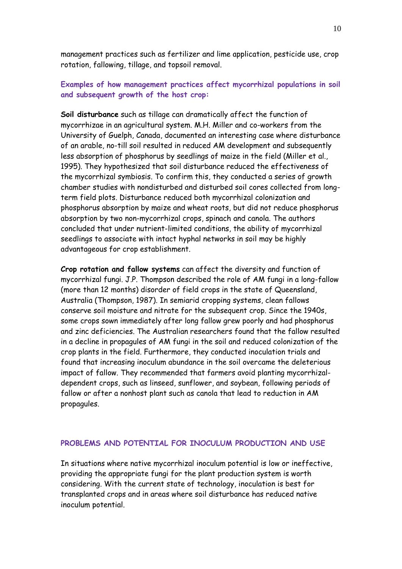management practices such as fertilizer and lime application, pesticide use, crop rotation, fallowing, tillage, and topsoil removal.

## **Examples of how management practices affect mycorrhizal populations in soil and subsequent growth of the host crop:**

**Soil disturbance** such as tillage can dramatically affect the function of mycorrhizae in an agricultural system. M.H. Miller and co-workers from the University of Guelph, Canada, documented an interesting case where disturbance of an arable, no-till soil resulted in reduced AM development and subsequently less absorption of phosphorus by seedlings of maize in the field (Miller et al., 1995). They hypothesized that soil disturbance reduced the effectiveness of the mycorrhizal symbiosis. To confirm this, they conducted a series of growth chamber studies with nondisturbed and disturbed soil cores collected from longterm field plots. Disturbance reduced both mycorrhizal colonization and phosphorus absorption by maize and wheat roots, but did not reduce phosphorus absorption by two non-mycorrhizal crops, spinach and canola. The authors concluded that under nutrient-limited conditions, the ability of mycorrhizal seedlings to associate with intact hyphal networks in soil may be highly advantageous for crop establishment.

**Crop rotation and fallow systems** can affect the diversity and function of mycorrhizal fungi. J.P. Thompson described the role of AM fungi in a long-fallow (more than 12 months) disorder of field crops in the state of Queensland, Australia (Thompson, 1987). In semiarid cropping systems, clean fallows conserve soil moisture and nitrate for the subsequent crop. Since the 1940s, some crops sown immediately after long fallow grew poorly and had phosphorus and zinc deficiencies. The Australian researchers found that the fallow resulted in a decline in propagules of AM fungi in the soil and reduced colonization of the crop plants in the field. Furthermore, they conducted inoculation trials and found that increasing inoculum abundance in the soil overcame the deleterious impact of fallow. They recommended that farmers avoid planting mycorrhizaldependent crops, such as linseed, sunflower, and soybean, following periods of fallow or after a nonhost plant such as canola that lead to reduction in AM propagules.

## **PROBLEMS AND POTENTIAL FOR INOCULUM PRODUCTION AND USE**

In situations where native mycorrhizal inoculum potential is low or ineffective, providing the appropriate fungi for the plant production system is worth considering. With the current state of technology, inoculation is best for transplanted crops and in areas where soil disturbance has reduced native inoculum potential.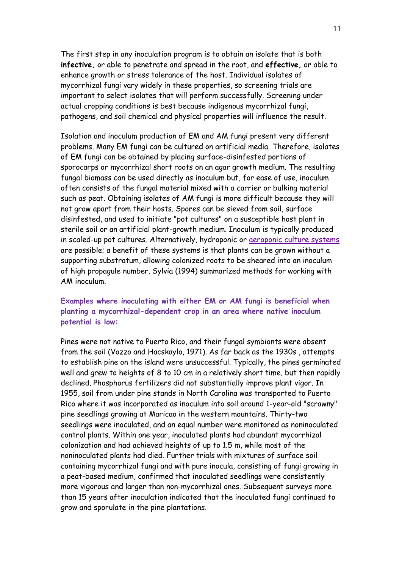The first step in any inoculation program is to obtain an isolate that is both **infective,** or able to penetrate and spread in the root, and **effective,** or able to enhance growth or stress tolerance of the host. Individual isolates of mycorrhizal fungi vary widely in these properties, so screening trials are important to select isolates that will perform successfully. Screening under actual cropping conditions is best because indigenous mycorrhizal fungi, pathogens, and soil chemical and physical properties will influence the result.

Isolation and inoculum production of EM and AM fungi present very different problems. Many EM fungi can be cultured on artificial media. Therefore, isolates of EM fungi can be obtained by placing surface-disinfested portions of sporocarps or mycorrhizal short roots on an agar growth medium. The resulting fungal biomass can be used directly as inoculum but, for ease of use, inoculum often consists of the fungal material mixed with a carrier or bulking material such as peat. Obtaining isolates of AM fungi is more difficult because they will not grow apart from their hosts. Spores can be sieved from soil, surface disinfested, and used to initiate "pot cultures" on a susceptible host plant in sterile soil or an artificial plant-growth medium. Inoculum is typically produced in scaled-up pot cultures. Alternatively, hydroponic or **aeroponic culture systems** are possible; a benefit of these systems is that plants can be grown without a supporting substratum, allowing colonized roots to be sheared into an inoculum of high propagule number. Sylvia (1994) summarized methods for working with AM inoculum.

# **Examples where inoculating with either EM or AM fungi is beneficial when planting a mycorrhizal-dependent crop in an area where native inoculum potential is low:**

Pines were not native to Puerto Rico, and their fungal symbionts were absent from the soil (Vozzo and Hacskaylo, 1971). As far back as the 1930s , attempts to establish pine on the island were unsuccessful. Typically, the pines germinated well and grew to heights of 8 to 10 cm in a relatively short time, but then rapidly declined. Phosphorus fertilizers did not substantially improve plant vigor. In 1955, soil from under pine stands in North Carolina was transported to Puerto Rico where it was incorporated as inoculum into soil around 1-year-old "scrawny" pine seedlings growing at Maricao in the western mountains. Thirty-two seedlings were inoculated, and an equal number were monitored as noninoculated control plants. Within one year, inoculated plants had abundant mycorrhizal colonization and had achieved heights of up to 1.5 m, while most of the noninoculated plants had died. Further trials with mixtures of surface soil containing mycorrhizal fungi and with pure inocula, consisting of fungi growing in a peat-based medium, confirmed that inoculated seedlings were consistently more vigorous and larger than non-mycorrhizal ones. Subsequent surveys more than 15 years after inoculation indicated that the inoculated fungi continued to grow and sporulate in the pine plantations.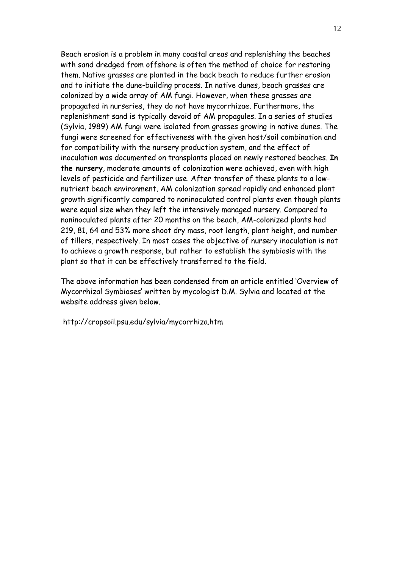Beach erosion is a problem in many coastal areas and replenishing the beaches with sand dredged from offshore is often the method of choice for restoring them. Native grasses are planted in the back beach to reduce further erosion and to initiate the dune-building process. In native dunes, beach grasses are colonized by a wide array of AM fungi. However, when these grasses are propagated in nurseries, they do not have mycorrhizae. Furthermore, the replenishment sand is typically devoid of AM propagules. In a series of studies (Sylvia, 1989) AM fungi were isolated from grasses growing in native dunes. The fungi were screened for effectiveness with the given host/soil combination and for compatibility with the nursery production system, and the effect of inoculation was documented on transplants placed on newly restored beaches. **In the nursery**, moderate amounts of colonization were achieved, even with high levels of pesticide and fertilizer use. After transfer of these plants to a lownutrient beach environment, AM colonization spread rapidly and enhanced plant growth significantly compared to noninoculated control plants even though plants were equal size when they left the intensively managed nursery. Compared to noninoculated plants after 20 months on the beach, AM-colonized plants had 219, 81, 64 and 53% more shoot dry mass, root length, plant height, and number of tillers, respectively. In most cases the objective of nursery inoculation is not to achieve a growth response, but rather to establish the symbiosis with the plant so that it can be effectively transferred to the field.

The above information has been condensed from an article entitled 'Overview of Mycorrhizal Symbioses' written by mycologist D.M. Sylvia and located at the website address given below.

http://cropsoil.psu.edu/sylvia/mycorrhiza.htm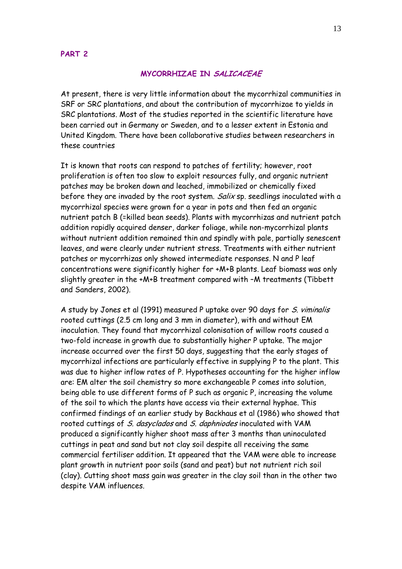## **PART 2**

## **MYCORRHIZAE IN SALICACEAE**

At present, there is very little information about the mycorrhizal communities in SRF or SRC plantations, and about the contribution of mycorrhizae to yields in SRC plantations. Most of the studies reported in the scientific literature have been carried out in Germany or Sweden, and to a lesser extent in Estonia and United Kingdom. There have been collaborative studies between researchers in these countries

It is known that roots can respond to patches of fertility; however, root proliferation is often too slow to exploit resources fully, and organic nutrient patches may be broken down and leached, immobilized or chemically fixed before they are invaded by the root system.  $Salix$  sp. seedlings inoculated with a mycorrhizal species were grown for a year in pots and then fed an organic nutrient patch B (=killed bean seeds). Plants with mycorrhizas and nutrient patch addition rapidly acquired denser, darker foliage, while non-mycorrhizal plants without nutrient addition remained thin and spindly with pale, partially senescent leaves, and were clearly under nutrient stress. Treatments with either nutrient patches or mycorrhizas only showed intermediate responses. N and P leaf concentrations were significantly higher for +M+B plants. Leaf biomass was only slightly greater in the +M+B treatment compared with –M treatments (Tibbett and Sanders, 2002).

A study by Jones et al (1991) measured P uptake over 90 days for S. viminalis rooted cuttings (2.5 cm long and 3 mm in diameter), with and without EM inoculation. They found that mycorrhizal colonisation of willow roots caused a two-fold increase in growth due to substantially higher P uptake. The major increase occurred over the first 50 days, suggesting that the early stages of mycorrhizal infections are particularly effective in supplying P to the plant. This was due to higher inflow rates of P. Hypotheses accounting for the higher inflow are: EM alter the soil chemistry so more exchangeable P comes into solution, being able to use different forms of P such as organic P, increasing the volume of the soil to which the plants have access via their external hyphae. This confirmed findings of an earlier study by Backhaus et al (1986) who showed that rooted cuttings of S. dasyclados and S. daphniodes inoculated with VAM produced a significantly higher shoot mass after 3 months than uninoculated cuttings in peat and sand but not clay soil despite all receiving the same commercial fertiliser addition. It appeared that the VAM were able to increase plant growth in nutrient poor soils (sand and peat) but not nutrient rich soil (clay). Cutting shoot mass gain was greater in the clay soil than in the other two despite VAM influences.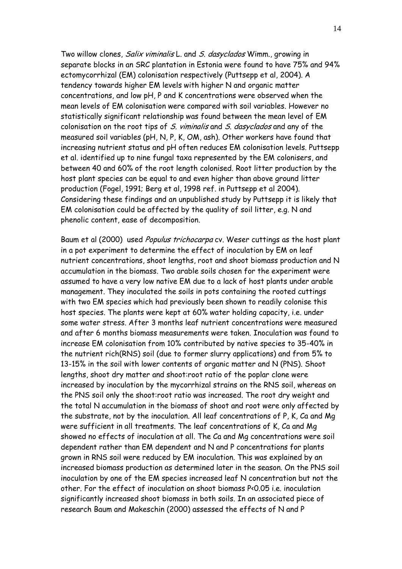Two willow clones, Salix viminalis L. and S. dasyclados Wimm., growing in separate blocks in an SRC plantation in Estonia were found to have 75% and 94% ectomycorrhizal (EM) colonisation respectively (Puttsepp et al, 2004). A tendency towards higher EM levels with higher N and organic matter concentrations, and low pH, P and K concentrations were observed when the mean levels of EM colonisation were compared with soil variables. However no statistically significant relationship was found between the mean level of EM colonisation on the root tips of S. viminalis and S. dasyclados and any of the measured soil variables (pH, N, P, K, OM, ash). Other workers have found that increasing nutrient status and pH often reduces EM colonisation levels. Puttsepp et al. identified up to nine fungal taxa represented by the EM colonisers, and between 40 and 60% of the root length colonised. Root litter production by the host plant species can be equal to and even higher than above ground litter production (Fogel, 1991; Berg et al, 1998 ref. in Puttsepp et al 2004). Considering these findings and an unpublished study by Puttsepp it is likely that EM colonisation could be affected by the quality of soil litter, e.g. N and phenolic content, ease of decomposition.

Baum et al (2000) used Populus trichocarpa cv. Weser cuttings as the host plant in a pot experiment to determine the effect of inoculation by EM on leaf nutrient concentrations, shoot lengths, root and shoot biomass production and N accumulation in the biomass. Two arable soils chosen for the experiment were assumed to have a very low native EM due to a lack of host plants under arable management. They inoculated the soils in pots containing the rooted cuttings with two EM species which had previously been shown to readily colonise this host species. The plants were kept at 60% water holding capacity, i.e. under some water stress. After 3 months leaf nutrient concentrations were measured and after 6 months biomass measurements were taken. Inoculation was found to increase EM colonisation from 10% contributed by native species to 35-40% in the nutrient rich(RNS) soil (due to former slurry applications) and from 5% to 13-15% in the soil with lower contents of organic matter and N (PNS). Shoot lengths, shoot dry matter and shoot:root ratio of the poplar clone were increased by inoculation by the mycorrhizal strains on the RNS soil, whereas on the PNS soil only the shoot:root ratio was increased. The root dry weight and the total N accumulation in the biomass of shoot and root were only affected by the substrate, not by the inoculation. All leaf concentrations of P, K, Ca and Mg were sufficient in all treatments. The leaf concentrations of K, Ca and Mg showed no effects of inoculation at all. The Ca and Mg concentrations were soil dependent rather than EM dependent and N and P concentrations for plants grown in RNS soil were reduced by EM inoculation. This was explained by an increased biomass production as determined later in the season. On the PNS soil inoculation by one of the EM species increased leaf N concentration but not the other. For the effect of inoculation on shoot biomass P<0.05 i.e. inoculation significantly increased shoot biomass in both soils. In an associated piece of research Baum and Makeschin (2000) assessed the effects of N and P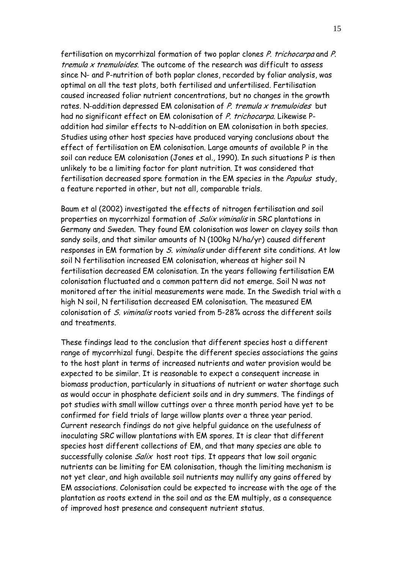fertilisation on mycorrhizal formation of two poplar clones P. trichocarpa and P. tremula x tremuloides. The outcome of the research was difficult to assess since N- and P-nutrition of both poplar clones, recorded by foliar analysis, was optimal on all the test plots, both fertilised and unfertilised. Fertilisation caused increased foliar nutrient concentrations, but no changes in the growth rates. N-addition depressed EM colonisation of P. tremula x tremuloides but had no significant effect on EM colonisation of P. trichocarpa. Likewise Paddition had similar effects to N-addition on EM colonisation in both species. Studies using other host species have produced varying conclusions about the effect of fertilisation on EM colonisation. Large amounts of available P in the soil can reduce EM colonisation (Jones et al., 1990). In such situations P is then unlikely to be a limiting factor for plant nutrition. It was considered that fertilisation decreased spore formation in the EM species in the Populus study, a feature reported in other, but not all, comparable trials.

Baum et al (2002) investigated the effects of nitrogen fertilisation and soil properties on mycorrhizal formation of *Salix viminalis* in SRC plantations in Germany and Sweden. They found EM colonisation was lower on clayey soils than sandy soils, and that similar amounts of N (100kg N/ha/yr) caused different responses in EM formation by S. viminalis under different site conditions. At low soil N fertilisation increased EM colonisation, whereas at higher soil N fertilisation decreased EM colonisation. In the years following fertilisation EM colonisation fluctuated and a common pattern did not emerge. Soil N was not monitored after the initial measurements were made. In the Swedish trial with a high N soil, N fertilisation decreased EM colonisation. The measured EM colonisation of *S. viminalis* roots varied from 5-28% across the different soils and treatments.

These findings lead to the conclusion that different species host a different range of mycorrhizal fungi. Despite the different species associations the gains to the host plant in terms of increased nutrients and water provision would be expected to be similar. It is reasonable to expect a consequent increase in biomass production, particularly in situations of nutrient or water shortage such as would occur in phosphate deficient soils and in dry summers. The findings of pot studies with small willow cuttings over a three month period have yet to be confirmed for field trials of large willow plants over a three year period. Current research findings do not give helpful guidance on the usefulness of inoculating SRC willow plantations with EM spores. It is clear that different species host different collections of EM, and that many species are able to successfully colonise  $Salix$  host root tips. It appears that low soil organic nutrients can be limiting for EM colonisation, though the limiting mechanism is not yet clear, and high available soil nutrients may nullify any gains offered by EM associations. Colonisation could be expected to increase with the age of the plantation as roots extend in the soil and as the EM multiply, as a consequence of improved host presence and consequent nutrient status.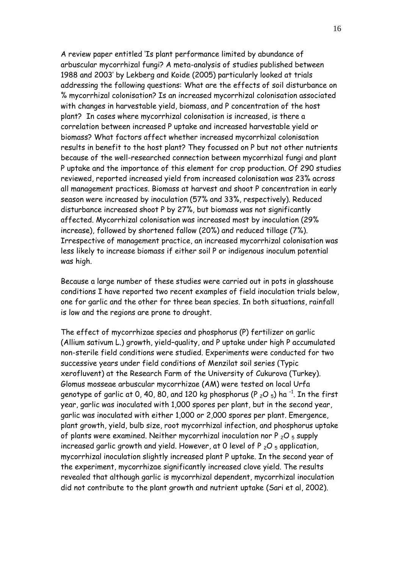A review paper entitled 'Is plant performance limited by abundance of arbuscular mycorrhizal fungi? A meta-analysis of studies published between 1988 and 2003' by Lekberg and Koide (2005) particularly looked at trials addressing the following questions: What are the effects of soil disturbance on % mycorrhizal colonisation? Is an increased mycorrhizal colonisation associated with changes in harvestable yield, biomass, and P concentration of the host plant? In cases where mycorrhizal colonisation is increased, is there a correlation between increased P uptake and increased harvestable yield or biomass? What factors affect whether increased mycorrhizal colonisation results in benefit to the host plant? They focussed on P but not other nutrients because of the well-researched connection between mycorrhizal fungi and plant P uptake and the importance of this element for crop production. Of 290 studies reviewed, reported increased yield from increased colonisation was 23% across all management practices. Biomass at harvest and shoot P concentration in early season were increased by inoculation (57% and 33%, respectively). Reduced disturbance increased shoot P by 27%, but biomass was not significantly affected. Mycorrhizal colonisation was increased most by inoculation (29% increase), followed by shortened fallow (20%) and reduced tillage (7%). Irrespective of management practice, an increased mycorrhizal colonisation was less likely to increase biomass if either soil P or indigenous inoculum potential was high.

Because a large number of these studies were carried out in pots in glasshouse conditions I have reported two recent examples of field inoculation trials below, one for garlic and the other for three bean species. In both situations, rainfall is low and the regions are prone to drought.

The effect of mycorrhizae species and phosphorus (P) fertilizer on garlic (Allium sativum L.) growth, yield–quality, and P uptake under high P accumulated non-sterile field conditions were studied. Experiments were conducted for two successive years under field conditions of Menzilat soil series (Typic xerofluvent) at the Research Farm of the University of Cukurova (Turkey). Glomus mosseae arbuscular mycorrhizae (AM) were tested on local Urfa genotype of garlic at 0, 40, 80, and 120 kg phosphorus (P  $_2$ O  $_5$ ) ha<sup>-1</sup>. In the first year, garlic was inoculated with 1,000 spores per plant, but in the second year, garlic was inoculated with either 1,000 or 2,000 spores per plant. Emergence, plant growth, yield, bulb size, root mycorrhizal infection, and phosphorus uptake of plants were examined. Neither mycorrhizal inoculation nor  $P_2O_5$  supply increased garlic growth and yield. However, at 0 level of  $P_2O_5$  application, mycorrhizal inoculation slightly increased plant P uptake. In the second year of the experiment, mycorrhizae significantly increased clove yield. The results revealed that although garlic is mycorrhizal dependent, mycorrhizal inoculation did not contribute to the plant growth and nutrient uptake (Sari et al, 2002).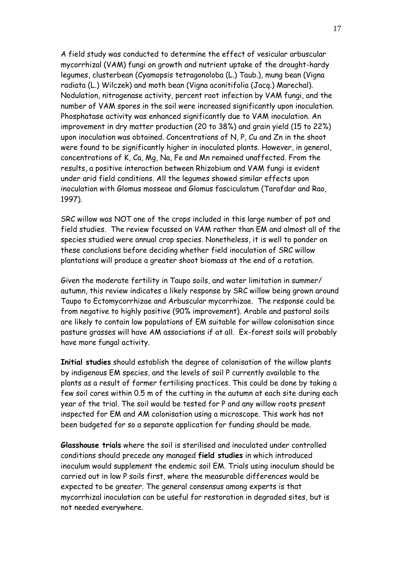A field study was conducted to determine the effect of vesicular arbuscular mycorrhizal (VAM) fungi on growth and nutrient uptake of the drought-hardy legumes, clusterbean (Cyamopsis tetragonoloba (L.) Taub.), mung bean (Vigna radiata (L.) Wilczek) and moth bean (Vigna aconitifolia (Jacq.) Marechal). Nodulation, nitrogenase activity, percent root infection by VAM fungi, and the number of VAM spores in the soil were increased significantly upon inoculation. Phosphatase activity was enhanced significantly due to VAM inoculation. An improvement in dry matter production (20 to 38%) and grain yield (15 to 22%) upon inoculation was obtained. Concentrations of N, P, Cu and Zn in the shoot were found to be significantly higher in inoculated plants. However, in general, concentrations of K, Ca, Mg, Na, Fe and Mn remained unaffected. From the results, a positive interaction between Rhizobium and VAM fungi is evident under arid field conditions. All the legumes showed similar effects upon inoculation with Glomus mosseae and Glomus fasciculatum (Tarafdar and Rao, 1997).

SRC willow was NOT one of the crops included in this large number of pot and field studies. The review focussed on VAM rather than EM and almost all of the species studied were annual crop species. Nonetheless, it is well to ponder on these conclusions before deciding whether field inoculation of SRC willow plantations will produce a greater shoot biomass at the end of a rotation.

Given the moderate fertility in Taupo soils, and water limitation in summer/ autumn, this review indicates a likely response by SRC willow being grown around Taupo to Ectomycorrhizae and Arbuscular mycorrhizae. The response could be from negative to highly positive (90% improvement). Arable and pastoral soils are likely to contain low populations of EM suitable for willow colonisation since pasture grasses will have AM associations if at all. Ex-forest soils will probably have more fungal activity.

**Initial studies** should establish the degree of colonisation of the willow plants by indigenous EM species, and the levels of soil P currently available to the plants as a result of former fertilising practices. This could be done by taking a few soil cores within 0.5 m of the cutting in the autumn at each site during each year of the trial. The soil would be tested for P and any willow roots present inspected for EM and AM colonisation using a microscope. This work has not been budgeted for so a separate application for funding should be made.

**Glasshouse trials** where the soil is sterilised and inoculated under controlled conditions should precede any managed **field studies** in which introduced inoculum would supplement the endemic soil EM. Trials using inoculum should be carried out in low P soils first, where the measurable differences would be expected to be greater. The general consensus among experts is that mycorrhizal inoculation can be useful for restoration in degraded sites, but is not needed everywhere.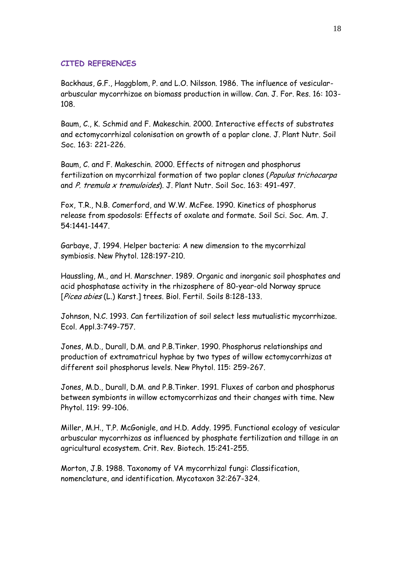## **CITED REFERENCES**

Backhaus, G.F., Haggblom, P. and L.O. Nilsson. 1986. The influence of vesiculararbuscular mycorrhizae on biomass production in willow. Can. J. For. Res. 16: 103- 108.

Baum, C., K. Schmid and F. Makeschin. 2000. Interactive effects of substrates and ectomycorrhizal colonisation on growth of a poplar clone. J. Plant Nutr. Soil Soc. 163: 221-226.

Baum, C. and F. Makeschin. 2000. Effects of nitrogen and phosphorus fertilization on mycorrhizal formation of two poplar clones (Populus trichocarpa and P. tremula x tremuloides). J. Plant Nutr. Soil Soc. 163: 491-497.

Fox, T.R., N.B. Comerford, and W.W. McFee. 1990. Kinetics of phosphorus release from spodosols: Effects of oxalate and formate. Soil Sci. Soc. Am. J. 54:1441-1447.

Garbaye, J. 1994. Helper bacteria: A new dimension to the mycorrhizal symbiosis. New Phytol. 128:197-210.

Haussling, M., and H. Marschner. 1989. Organic and inorganic soil phosphates and acid phosphatase activity in the rhizosphere of 80-year-old Norway spruce [Picea abies (L.) Karst.] trees. Biol. Fertil. Soils 8:128-133.

Johnson, N.C. 1993. Can fertilization of soil select less mutualistic mycorrhizae. Ecol. Appl.3:749-757.

Jones, M.D., Durall, D.M. and P.B.Tinker. 1990. Phosphorus relationships and production of extramatricul hyphae by two types of willow ectomycorrhizas at different soil phosphorus levels. New Phytol. 115: 259-267.

Jones, M.D., Durall, D.M. and P.B.Tinker. 1991. Fluxes of carbon and phosphorus between symbionts in willow ectomycorrhizas and their changes with time. New Phytol. 119: 99-106.

Miller, M.H., T.P. McGonigle, and H.D. Addy. 1995. Functional ecology of vesicular arbuscular mycorrhizas as influenced by phosphate fertilization and tillage in an agricultural ecosystem. Crit. Rev. Biotech. 15:241-255.

Morton, J.B. 1988. Taxonomy of VA mycorrhizal fungi: Classification, nomenclature, and identification. Mycotaxon 32:267-324.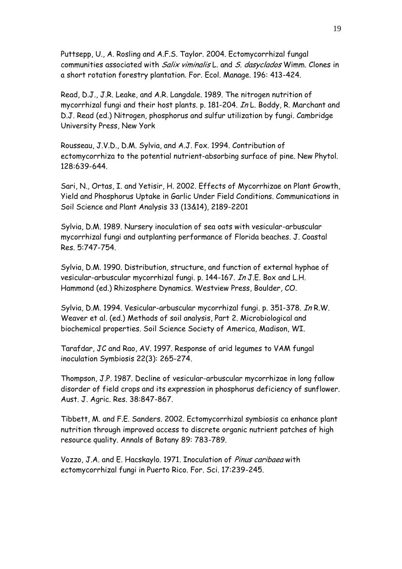Puttsepp, U., A. Rosling and A.F.S. Taylor. 2004. Ectomycorrhizal fungal communities associated with *Salix viminalis* L. and S. dasyclados Wimm. Clones in a short rotation forestry plantation. For. Ecol. Manage. 196: 413-424.

Read, D.J., J.R. Leake, and A.R. Langdale. 1989. The nitrogen nutrition of mycorrhizal fungi and their host plants. p. 181-204. In L. Boddy, R. Marchant and D.J. Read (ed.) Nitrogen, phosphorus and sulfur utilization by fungi. Cambridge University Press, New York

Rousseau, J.V.D., D.M. Sylvia, and A.J. Fox. 1994. Contribution of ectomycorrhiza to the potential nutrient-absorbing surface of pine. New Phytol. 128:639-644.

Sari, N., Ortas, I. and Yetisir, H. 2002. Effects of Mycorrhizae on Plant Growth, Yield and Phosphorus Uptake in Garlic Under Field Conditions. Communications in Soil Science and Plant Analysis 33 (13&14), 2189-2201

Sylvia, D.M. 1989. Nursery inoculation of sea oats with vesicular-arbuscular mycorrhizal fungi and outplanting performance of Florida beaches. J. Coastal Res. 5:747-754.

Sylvia, D.M. 1990. Distribution, structure, and function of external hyphae of vesicular-arbuscular mycorrhizal fungi. p. 144-167. In J.E. Box and L.H. Hammond (ed.) Rhizosphere Dynamics. Westview Press, Boulder, CO.

Sylvia, D.M. 1994. Vesicular-arbuscular mycorrhizal fungi. p. 351-378. In R.W. Weaver et al. (ed.) Methods of soil analysis, Part 2. Microbiological and biochemical properties. Soil Science Society of America, Madison, WI.

Tarafdar, JC and Rao, AV. 1997. Response of arid legumes to VAM fungal inoculation Symbiosis 22(3): 265-274.

Thompson, J.P. 1987. Decline of vesicular-arbuscular mycorrhizae in long fallow disorder of field crops and its expression in phosphorus deficiency of sunflower. Aust. J. Agric. Res. 38:847-867.

Tibbett, M. and F.E. Sanders. 2002. Ectomycorrhizal symbiosis ca enhance plant nutrition through improved access to discrete organic nutrient patches of high resource quality. Annals of Botany 89: 783-789.

Vozzo, J.A. and E. Hacskaylo. 1971. Inoculation of Pinus caribaea with ectomycorrhizal fungi in Puerto Rico. For. Sci. 17:239-245.